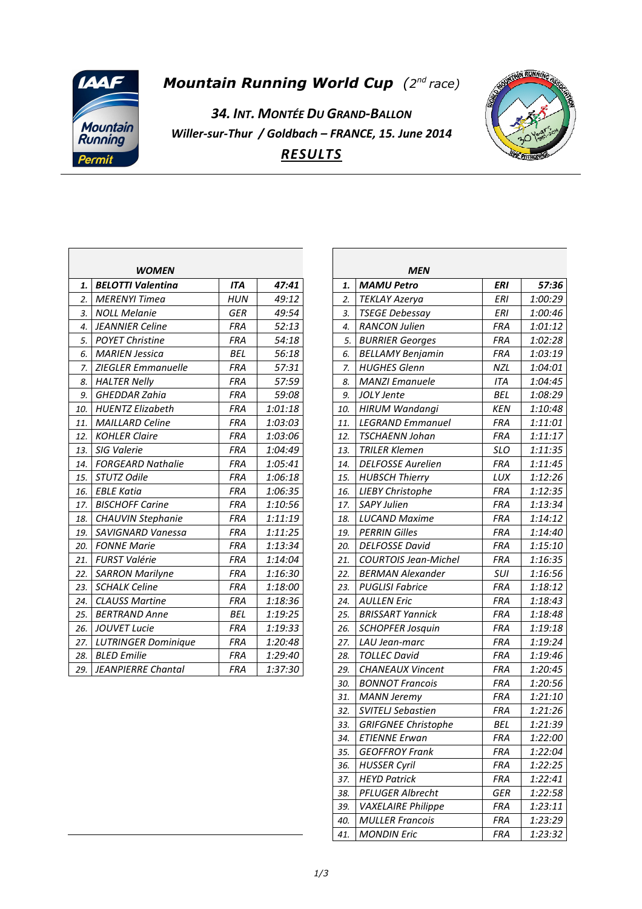

## **Mountain Running World Cup** (2<sup>nd</sup> race)

*34. INT. MONTÉE DU GRAND-BALLON Willer-sur-Thur / Goldbach – FRANCE, 15. June 2014 RESULTS*



|     | <b>WOMEN</b>               |            |         |
|-----|----------------------------|------------|---------|
| 1.  | <b>BELOTTI Valentina</b>   | <b>ITA</b> | 47:41   |
| 2.  | <b>MERENYI Timea</b>       | <b>HUN</b> | 49:12   |
| 3.  | <b>NOLL Melanie</b>        | <b>GER</b> | 49:54   |
| 4.  | <b>JEANNIER Celine</b>     | <b>FRA</b> | 52:13   |
| 5.  | <b>POYET Christine</b>     | <b>FRA</b> | 54:18   |
| 6.  | <b>MARIEN Jessica</b>      | <b>BEL</b> | 56:18   |
| 7.  | <b>ZIEGLER Emmanuelle</b>  | <b>FRA</b> | 57:31   |
| 8.  | <b>HALTER Nelly</b>        | <b>FRA</b> | 57:59   |
| 9.  | <b>GHEDDAR Zahia</b>       | <b>FRA</b> | 59:08   |
| 10. | <b>HUENTZ Elizabeth</b>    | <b>FRA</b> | 1:01:18 |
| 11. | <b>MAILLARD Celine</b>     | <b>FRA</b> | 1:03:03 |
| 12. | <b>KOHLER Claire</b>       | <b>FRA</b> | 1:03:06 |
| 13. | SIG Valerie                | <b>FRA</b> | 1:04:49 |
| 14. | <b>FORGEARD Nathalie</b>   | <b>FRA</b> | 1:05:41 |
| 15. | STUTZ Odile                | <b>FRA</b> | 1:06:18 |
| 16. | <b>EBLE Katia</b>          | <b>FRA</b> | 1:06:35 |
| 17. | <b>BISCHOFF Carine</b>     | <b>FRA</b> | 1:10:56 |
| 18. | <b>CHAUVIN Stephanie</b>   | <b>FRA</b> | 1:11:19 |
| 19. | SAVIGNARD Vanessa          | <b>FRA</b> | 1:11:25 |
| 20. | <b>FONNE Marie</b>         | <b>FRA</b> | 1:13:34 |
| 21. | <b>FURST Valérie</b>       | <b>FRA</b> | 1:14:04 |
| 22. | <b>SARRON Marilyne</b>     | <b>FRA</b> | 1:16:30 |
| 23. | <b>SCHALK Celine</b>       | <b>FRA</b> | 1:18:00 |
| 24. | <b>CLAUSS Martine</b>      | <b>FRA</b> | 1:18:36 |
| 25. | <b>BERTRAND Anne</b>       | <b>BEL</b> | 1:19:25 |
| 26. | <b>JOUVET Lucie</b>        | <b>FRA</b> | 1:19:33 |
| 27. | <b>LUTRINGER Dominique</b> | <b>FRA</b> | 1:20:48 |
| 28. | <b>BLED Emilie</b>         | <b>FRA</b> | 1:29:40 |
| 29. | <b>JEANPIERRE Chantal</b>  | <b>FRA</b> | 1:37:30 |

|     | MEN                         |            |         |
|-----|-----------------------------|------------|---------|
| 1.  | MAMU Petro                  | ERI        | 57:36   |
| 2.  | TEKLAY Azerya               | ERI        | 1:00:29 |
| 3.  | <b>TSEGE Debessay</b>       | ERI        | 1:00:46 |
| 4.  | <b>RANCON Julien</b>        | <b>FRA</b> | 1:01:12 |
| 5.  | <b>BURRIER Georges</b>      | <b>FRA</b> | 1:02:28 |
| 6.  | <b>BELLAMY Benjamin</b>     | FRA        | 1:03:19 |
| 7.  | <b>HUGHES Glenn</b>         | NZL        | 1:04:01 |
| 8.  | <b>MANZI Emanuele</b>       | ITA        | 1:04:45 |
| 9.  | JOLY Jente                  | <b>BEL</b> | 1:08:29 |
| 10. | HIRUM Wandangi              | KEN        | 1:10:48 |
| 11. | <b>LEGRAND Emmanuel</b>     | <b>FRA</b> | 1:11:01 |
| 12. | <b>TSCHAENN Johan</b>       | <b>FRA</b> | 1:11:17 |
| 13. | <b>TRILER Klemen</b>        | <b>SLO</b> | 1:11:35 |
| 14. | <b>DELFOSSE Aurelien</b>    | <b>FRA</b> | 1:11:45 |
| 15. | <b>HUBSCH Thierry</b>       | LUX        | 1:12:26 |
| 16. | <b>LIEBY Christophe</b>     | <b>FRA</b> | 1:12:35 |
| 17. | <b>SAPY Julien</b>          | <b>FRA</b> | 1:13:34 |
| 18. | <b>LUCAND Maxime</b>        | <b>FRA</b> | 1:14:12 |
| 19. | <b>PERRIN Gilles</b>        | <b>FRA</b> | 1:14:40 |
| 20. | <b>DELFOSSE David</b>       | <b>FRA</b> | 1:15:10 |
| 21. | <b>COURTOIS Jean-Michel</b> | <b>FRA</b> | 1:16:35 |
| 22. | <b>BERMAN Alexander</b>     | SUI        | 1:16:56 |
| 23. | <b>PUGLISI Fabrice</b>      | <b>FRA</b> | 1:18:12 |
| 24. | <b>AULLEN Eric</b>          | <b>FRA</b> | 1:18:43 |
| 25. | <b>BRISSART Yannick</b>     | <b>FRA</b> | 1:18:48 |
| 26. | <b>SCHOPFER Josquin</b>     | <b>FRA</b> | 1:19:18 |
| 27. | LAU Jean-marc               | <b>FRA</b> | 1:19:24 |
| 28. | <b>TOLLEC David</b>         | <b>FRA</b> | 1:19:46 |
| 29. | <b>CHANEAUX Vincent</b>     | <b>FRA</b> | 1:20:45 |
| 30. | <b>BONNOT Francois</b>      | FRA        | 1:20:56 |
| 31. | <b>MANN Jeremy</b>          | <b>FRA</b> | 1:21:10 |
| 32. | <b>SVITELJ Sebastien</b>    | FRA        | 1:21:26 |
| 33. | <b>GRIFGNEE Christophe</b>  | BEL        | 1:21:39 |
| 34. | <b>ETIENNE Erwan</b>        | FRA        | 1:22:00 |
| 35. | <b>GEOFFROY Frank</b>       | <b>FRA</b> | 1:22:04 |
| 36. | <b>HUSSER Cyril</b>         | FRA        | 1:22:25 |
| 37. | <b>HEYD Patrick</b>         | FRA        | 1:22:41 |
| 38. | PFLUGER Albrecht            | GER        | 1:22:58 |
| 39. | <b>VAXELAIRE Philippe</b>   | <b>FRA</b> | 1:23:11 |
| 40. | <b>MULLER Francois</b>      | <b>FRA</b> | 1:23:29 |
| 41. | MONDIN Eric                 | FRA        | 1:23:32 |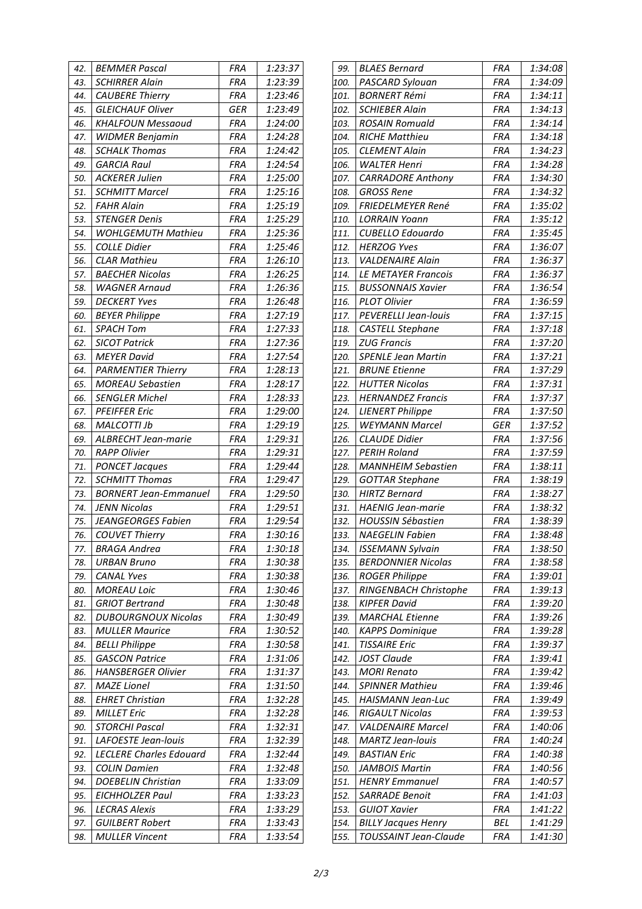| 42.        | BEMMER Pascal                                    | FRA               | 1:23:37            |
|------------|--------------------------------------------------|-------------------|--------------------|
| 43.        | <b>SCHIRRER Alain</b>                            | <b>FRA</b>        | 1:23:39            |
| 44.        | <b>CAUBERE Thierry</b>                           | <b>FRA</b>        | 1:23:46            |
| 45.        | <b>GLEICHAUF Oliver</b>                          | GER               | 1:23:49            |
| 46.        | <b>KHALFOUN Messaoud</b>                         | <b>FRA</b>        | 1:24:00            |
| 47.        | <b>WIDMER Benjamin</b>                           | <b>FRA</b>        | 1:24:28            |
| 48.        | <b>SCHALK Thomas</b>                             | <b>FRA</b>        | 1:24:42            |
| 49.        | <b>GARCIA Raul</b>                               | <b>FRA</b>        | 1:24:54            |
| 50.        | <b>ACKERER Julien</b>                            | <b>FRA</b>        | 1:25:00            |
| 51.        | <b>SCHMITT Marcel</b>                            | <b>FRA</b>        | 1:25:16            |
| 52.        | <b>FAHR Alain</b>                                | <b>FRA</b>        | 1:25:19            |
| 53.        | <b>STENGER Denis</b>                             | <b>FRA</b>        | 1:25:29            |
| 54.        | <b>WOHLGEMUTH Mathieu</b>                        | <b>FRA</b>        | 1:25:36            |
| 55.        | COLLE Didier                                     | <b>FRA</b>        | 1:25:46            |
| 56.        | <b>CLAR Mathieu</b>                              | <b>FRA</b>        | 1:26:10            |
| 57.        | <b>BAECHER Nicolas</b>                           | <b>FRA</b>        | 1:26:25            |
| 58.        | <b>WAGNER Arnaud</b>                             | <b>FRA</b>        | 1:26:36            |
| 59.        | <b>DECKERT Yves</b>                              | <b>FRA</b>        | 1:26:48            |
| 60.        | <b>BEYER Philippe</b>                            | <b>FRA</b>        | 1:27:19            |
| 61.        | SPACH Tom                                        | <b>FRA</b>        | 1:27:33            |
| 62.        | <b>SICOT Patrick</b>                             | <b>FRA</b>        | 1:27:36            |
| 63.        | <b>MEYER David</b>                               | <b>FRA</b>        | 1:27:54            |
| 64.        | <b>PARMENTIER Thierry</b>                        | FRA               | 1:28:13            |
| 65.        | <b>MOREAU Sebastien</b>                          | <b>FRA</b>        | 1:28:17            |
| 66.        | <b>SENGLER Michel</b>                            | <b>FRA</b>        | 1:28:33            |
| 67.        | <b>PFEIFFER Eric</b>                             | <b>FRA</b>        | 1:29:00            |
| 68.        | MALCOTTI Jb                                      | <b>FRA</b>        | 1:29:19            |
| 69.        | ALBRECHT Jean-marie                              | <b>FRA</b>        | 1:29:31            |
| 70.        | <b>RAPP Olivier</b>                              | <b>FRA</b>        | 1:29:31            |
| 71.        | <b>PONCET Jacques</b>                            | FRA               | 1:29:44            |
| 72.        | <b>SCHMITT Thomas</b>                            | FRA               | 1:29:47            |
| 73.        | <b>BORNERT Jean-Emmanuel</b>                     | <b>FRA</b>        | 1:29:50            |
| 74.        | <b>JENN Nicolas</b>                              | FRA               | 1:29:51            |
| 75.        | <b>JEANGEORGES Fabien</b>                        | <b>FRA</b>        | 1:29:54            |
| 76.        | <b>COUVET Thierry</b>                            | FRA               | 1:30:16            |
| 77.        | <b>BRAGA Andrea</b>                              | <b>FRA</b>        | 1:30:18            |
| 78.        | URBAN Bruno                                      | FRA               | 1:30:38            |
| 79.        | <b>CANAL Yves</b>                                | FRA               | 1:30:38            |
| 80.        | <b>MOREAU Loic</b>                               | FRA               | 1:30:46            |
| 81.        | <b>GRIOT Bertrand</b>                            | FRA               | 1:30:48            |
| 82.        | <b>DUBOURGNOUX Nicolas</b>                       | FRA               | 1:30:49            |
| 83.        | <b>MULLER Maurice</b>                            | <b>FRA</b>        | 1:30:52            |
| 84.        | <b>BELLI Philippe</b>                            | <b>FRA</b>        | 1:30:58            |
| 85.        | <b>GASCON Patrice</b>                            | FRA               | 1:31:06            |
| 86.        | <b>HANSBERGER Olivier</b>                        | <b>FRA</b>        | 1:31:37            |
| 87.        | MAZE Lionel                                      | FRA               | 1:31:50            |
| 88.        | EHRET Christian                                  | <b>FRA</b>        | 1:32:28            |
| 89.        | <b>MILLET Eric</b>                               | FRA               | 1:32:28            |
| 90.        | STORCHI Pascal                                   | <b>FRA</b>        | 1:32:31            |
| 91.        | LAFOESTE Jean-louis                              | FRA               | 1:32:39            |
| 92.        | <b>LECLERE Charles Edouard</b>                   | <b>FRA</b>        | 1:32:44            |
| 93.<br>94. | <b>COLIN Damien</b><br><b>DOEBELIN Christian</b> | FRA<br><b>FRA</b> | 1:32:48<br>1:33:09 |
| 95.        | EICHHOLZER Paul                                  | FRA               | 1:33:23            |
| 96.        | LECRAS Alexis                                    | <b>FRA</b>        | 1:33:29            |
| 97.        | GUILBERT Robert                                  | <b>FRA</b>        | 1:33:43            |
| 98.        | <b>MULLER Vincent</b>                            | <b>FRA</b>        | 1:33:54            |
|            |                                                  |                   |                    |

| 99.  | <b>BLAES Bernard</b>       | FRA        | 1:34:08 |
|------|----------------------------|------------|---------|
| 100. | PASCARD Sylouan            | FRA        | 1:34:09 |
| 101. | <b>BORNERT Rémi</b>        | FRA        | 1:34:11 |
| 102. | <b>SCHIEBER Alain</b>      | FRA        | 1:34:13 |
| 103. | <b>ROSAIN Romuald</b>      | FRA        | 1:34:14 |
| 104. | <b>RICHE Matthieu</b>      | <b>FRA</b> | 1:34:18 |
| 105. | <b>CLEMENT Alain</b>       | FRA        | 1:34:23 |
| 106. | <b>WALTER Henri</b>        | <b>FRA</b> | 1:34:28 |
| 107. | <b>CARRADORE Anthony</b>   | FRA        | 1:34:30 |
| 108. | <b>GROSS Rene</b>          | <b>FRA</b> | 1:34:32 |
| 109. | FRIEDELMEYER René          | <b>FRA</b> | 1:35:02 |
| 110. | <b>LORRAIN Yoann</b>       | <b>FRA</b> | 1:35:12 |
| 111. | <b>CUBELLO Edouardo</b>    | <b>FRA</b> | 1:35:45 |
| 112. | <b>HERZOG Yves</b>         | <b>FRA</b> | 1:36:07 |
| 113. | VALDENAIRE Alain           | <b>FRA</b> | 1:36:37 |
| 114. | <b>LE METAYER Francois</b> | <b>FRA</b> | 1:36:37 |
| 115. | <b>BUSSONNAIS Xavier</b>   | FRA        | 1:36:54 |
| 116. | <b>PLOT Olivier</b>        | FRA        | 1:36:59 |
| 117. | PEVERELLI Jean-louis       | FRA        | 1:37:15 |
| 118. | <b>CASTELL Stephane</b>    | FRA        | 1:37:18 |
| 119. | ZUG Francis                | FRA        | 1:37:20 |
| 120. | <b>SPENLE Jean Martin</b>  | <b>FRA</b> | 1:37:21 |
| 121. | <b>BRUNE Etienne</b>       | <b>FRA</b> | 1:37:29 |
| 122. | <b>HUTTER Nicolas</b>      | FRA        | 1:37:31 |
| 123. | <b>HERNANDEZ Francis</b>   | <b>FRA</b> | 1:37:37 |
| 124. | <b>LIENERT Philippe</b>    | FRA        | 1:37:50 |
| 125. | <b>WEYMANN Marcel</b>      | <b>GER</b> | 1:37:52 |
| 126. | <b>CLAUDE Didier</b>       | FRA        | 1:37:56 |
| 127. | <b>PERIH Roland</b>        | <b>FRA</b> | 1:37:59 |
| 128. | <b>MANNHEIM Sebastien</b>  | <b>FRA</b> | 1:38:11 |
| 129. | <b>GOTTAR Stephane</b>     | <b>FRA</b> | 1:38:19 |
| 130. | HIRTZ Bernard              | <b>FRA</b> | 1:38:27 |
| 131. | <b>HAENIG Jean-marie</b>   | <b>FRA</b> | 1:38:32 |
| 132. | <b>HOUSSIN Sébastien</b>   | <b>FRA</b> | 1:38:39 |
| 133. | <b>NAEGELIN Fabien</b>     | FRA        | 1:38:48 |
| 134. | <b>ISSEMANN Sylvain</b>    | FRA        | 1:38:50 |
| 135. | <b>BERDONNIER Nicolas</b>  | <b>FRA</b> | 1:38:58 |
| 136. | <b>ROGER Philippe</b>      | <b>FRA</b> | 1:39:01 |
| 137. | RINGENBACH Christophe      | FRA        | 1:39:13 |
| 138. | KIPFER David               | <b>FRA</b> | 1:39:20 |
| 139. | <b>MARCHAL Etienne</b>     | FRA        | 1:39:26 |
| 140. | <b>KAPPS Dominique</b>     | FRA        | 1:39:28 |
| 141. | <b>TISSAIRE Eric</b>       | FRA        | 1:39:37 |
| 142. | JOST Claude                | FRA        | 1:39:41 |
| 143. | <b>MORI Renato</b>         | FRA        | 1:39:42 |
| 144. | <b>SPINNER Mathieu</b>     | <b>FRA</b> | 1:39:46 |
| 145. | <b>HAISMANN Jean-Luc</b>   | FRA        | 1:39:49 |
| 146. | <b>RIGAULT Nicolas</b>     | <b>FRA</b> | 1:39:53 |
| 147. | <b>VALDENAIRE Marcel</b>   | FRA        | 1:40:06 |
| 148. | <b>MARTZ Jean-louis</b>    | <b>FRA</b> | 1:40:24 |
| 149. | <b>BASTIAN Eric</b>        | FRA        | 1:40:38 |
| 150. | <b>JAMBOIS Martin</b>      | <b>FRA</b> | 1:40:56 |
| 151. | <b>HENRY Emmanuel</b>      | FRA        | 1:40:57 |
| 152. | <b>SARRADE Benoit</b>      | <b>FRA</b> | 1:41:03 |
| 153. | <b>GUIOT Xavier</b>        | FRA        | 1:41:22 |
| 154. | <b>BILLY Jacques Henry</b> | BEL        | 1:41:29 |
| 155. | TOUSSAINT Jean-Claude      | FRA        | 1:41:30 |
|      |                            |            |         |